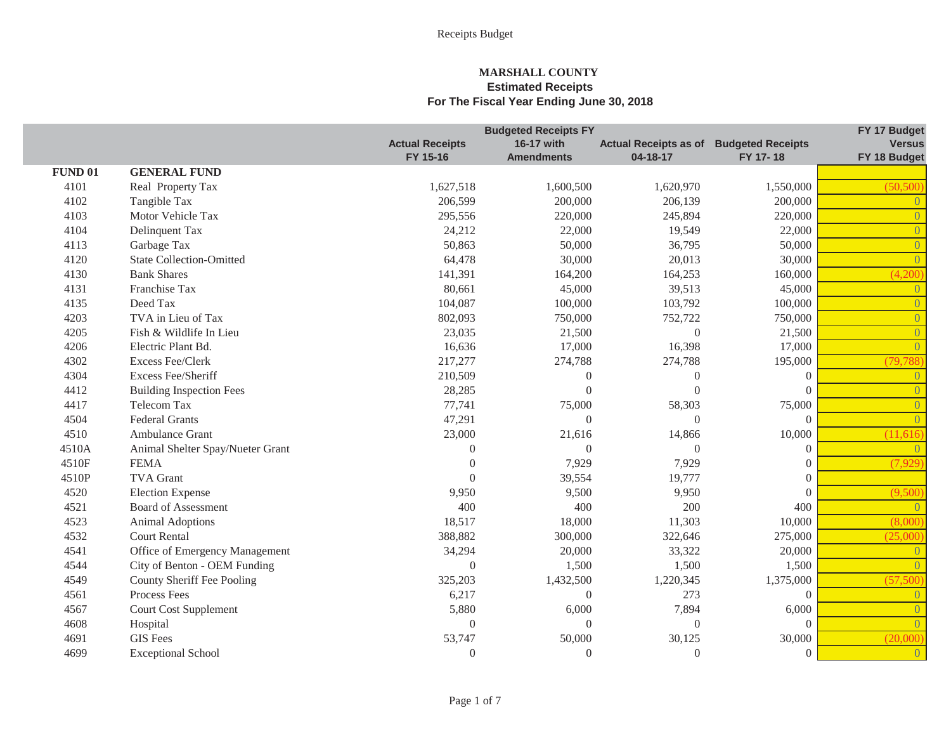|                |                                  |                        | <b>Budgeted Receipts FY</b> |                              |                          | FY 17 Budget   |
|----------------|----------------------------------|------------------------|-----------------------------|------------------------------|--------------------------|----------------|
|                |                                  | <b>Actual Receipts</b> | 16-17 with                  | <b>Actual Receipts as of</b> | <b>Budgeted Receipts</b> | <b>Versus</b>  |
|                |                                  | FY 15-16               | <b>Amendments</b>           | 04-18-17                     | FY 17-18                 | FY 18 Budget   |
| <b>FUND 01</b> | <b>GENERAL FUND</b>              |                        |                             |                              |                          |                |
| 4101           | Real Property Tax                | 1,627,518              | 1,600,500                   | 1,620,970                    | 1,550,000                | (50, 500)      |
| 4102           | Tangible Tax                     | 206,599                | 200,000                     | 206,139                      | 200,000                  | $\theta$       |
| 4103           | Motor Vehicle Tax                | 295,556                | 220,000                     | 245,894                      | 220,000                  | $\overline{0}$ |
| 4104           | Delinquent Tax                   | 24,212                 | 22,000                      | 19,549                       | 22,000                   | $\overline{0}$ |
| 4113           | Garbage Tax                      | 50,863                 | 50,000                      | 36,795                       | 50,000                   | $\overline{0}$ |
| 4120           | <b>State Collection-Omitted</b>  | 64,478                 | 30,000                      | 20,013                       | 30,000                   | $\overline{0}$ |
| 4130           | <b>Bank Shares</b>               | 141,391                | 164,200                     | 164,253                      | 160,000                  | (4,200)        |
| 4131           | Franchise Tax                    | 80,661                 | 45,000                      | 39,513                       | 45,000                   | $\overline{0}$ |
| 4135           | Deed Tax                         | 104,087                | 100,000                     | 103,792                      | 100,000                  | $\overline{0}$ |
| 4203           | TVA in Lieu of Tax               | 802,093                | 750,000                     | 752,722                      | 750,000                  | $\overline{0}$ |
| 4205           | Fish & Wildlife In Lieu          | 23,035                 | 21,500                      | $\theta$                     | 21,500                   | $\overline{0}$ |
| 4206           | Electric Plant Bd.               | 16,636                 | 17,000                      | 16,398                       | 17,000                   | $\theta$       |
| 4302           | <b>Excess Fee/Clerk</b>          | 217,277                | 274,788                     | 274,788                      | 195,000                  | (79, 788)      |
| 4304           | <b>Excess Fee/Sheriff</b>        | 210,509                | $\theta$                    | $\theta$                     | $\Omega$                 | $\theta$       |
| 4412           | <b>Building Inspection Fees</b>  | 28,285                 | $\Omega$                    | $\Omega$                     | $\Omega$                 | $\overline{0}$ |
| 4417           | Telecom Tax                      | 77,741                 | 75,000                      | 58,303                       | 75,000                   | $\overline{0}$ |
| 4504           | <b>Federal Grants</b>            | 47,291                 | $\Omega$                    | $\Omega$                     | $\Omega$                 | $\overline{0}$ |
| 4510           | Ambulance Grant                  | 23,000                 | 21,616                      | 14,866                       | 10,000                   | (11,616)       |
| 4510A          | Animal Shelter Spay/Nueter Grant | $\overline{0}$         | $\theta$                    | $\Omega$                     | $\theta$                 | $\overline{0}$ |
| 4510F          | <b>FEMA</b>                      | $\overline{0}$         | 7,929                       | 7,929                        | $\Omega$                 | (7,929)        |
| 4510P          | <b>TVA</b> Grant                 | $\Omega$               | 39,554                      | 19,777                       | $\Omega$                 |                |
| 4520           | <b>Election Expense</b>          | 9,950                  | 9,500                       | 9,950                        | $\Omega$                 | (9,500)        |
| 4521           | <b>Board of Assessment</b>       | 400                    | 400                         | 200                          | 400                      | $\overline{0}$ |
| 4523           | <b>Animal Adoptions</b>          | 18,517                 | 18,000                      | 11,303                       | 10,000                   | (8,000)        |
| 4532           | <b>Court Rental</b>              | 388,882                | 300,000                     | 322,646                      | 275,000                  | (25,000)       |
| 4541           | Office of Emergency Management   | 34,294                 | 20,000                      | 33,322                       | 20,000                   | $\overline{0}$ |
| 4544           | City of Benton - OEM Funding     | $\overline{0}$         | 1,500                       | 1,500                        | 1,500                    | $\Omega$       |
| 4549           | County Sheriff Fee Pooling       | 325,203                | 1,432,500                   | 1,220,345                    | 1,375,000                | (57,500)       |
| 4561           | Process Fees                     | 6,217                  | $\boldsymbol{0}$            | 273                          | $\theta$                 | $\overline{0}$ |
| 4567           | <b>Court Cost Supplement</b>     | 5,880                  | 6,000                       | 7,894                        | 6,000                    | $\overline{0}$ |
| 4608           | Hospital                         | $\boldsymbol{0}$       | $\theta$                    | $\boldsymbol{0}$             | $\Omega$                 | $\theta$       |
| 4691           | <b>GIS</b> Fees                  | 53,747                 | 50,000                      | 30,125                       | 30,000                   | (20,000)       |
| 4699           | <b>Exceptional School</b>        | $\overline{0}$         | $\mathbf{0}$                | $\boldsymbol{0}$             | $\overline{0}$           | $\overline{0}$ |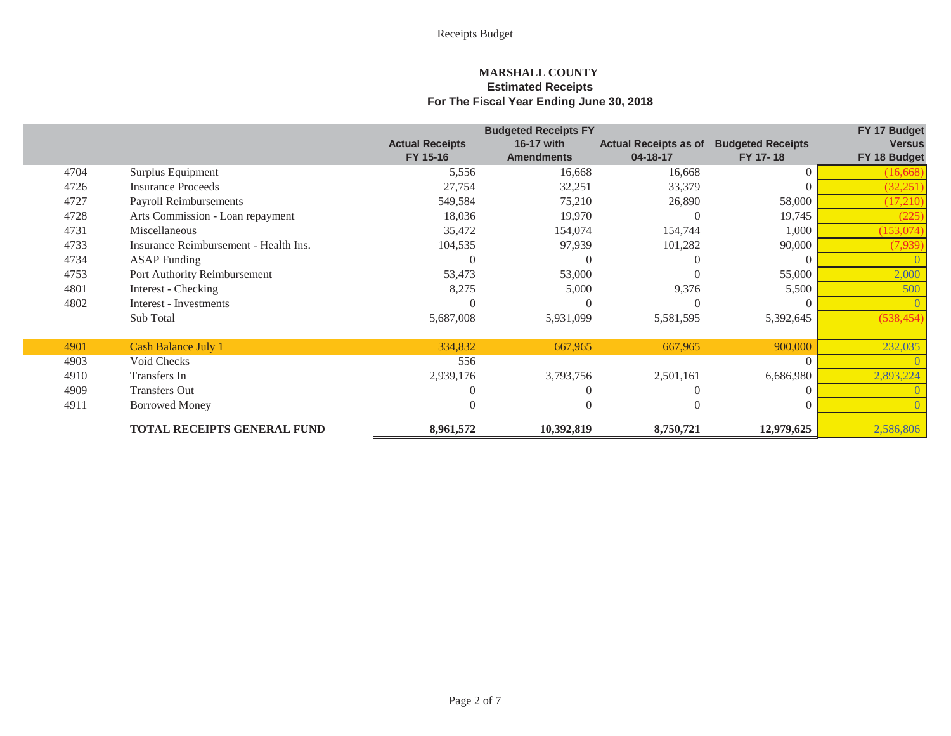|      |                                       | <b>Budgeted Receipts FY</b> | FY 17 Budget      |                              |                          |               |
|------|---------------------------------------|-----------------------------|-------------------|------------------------------|--------------------------|---------------|
|      |                                       | <b>Actual Receipts</b>      | 16-17 with        | <b>Actual Receipts as of</b> | <b>Budgeted Receipts</b> | <b>Versus</b> |
|      |                                       | FY 15-16                    | <b>Amendments</b> | 04-18-17                     | FY 17-18                 | FY 18 Budget  |
| 4704 | Surplus Equipment                     | 5,556                       | 16,668            | 16,668                       |                          | (16, 668)     |
| 4726 | <b>Insurance Proceeds</b>             | 27,754                      | 32,251            | 33,379                       |                          | (32, 251)     |
| 4727 | Payroll Reimbursements                | 549,584                     | 75,210            | 26,890                       | 58,000                   | (17,210)      |
| 4728 | Arts Commission - Loan repayment      | 18,036                      | 19,970            |                              | 19,745                   | (225          |
| 4731 | Miscellaneous                         | 35,472                      | 154,074           | 154,744                      | 1,000                    | (153, 074)    |
| 4733 | Insurance Reimbursement - Health Ins. | 104,535                     | 97,939            | 101,282                      | 90,000                   | (7,939)       |
| 4734 | <b>ASAP</b> Funding                   |                             |                   |                              |                          |               |
| 4753 | Port Authority Reimbursement          | 53,473                      | 53,000            |                              | 55,000                   | 2,000         |
| 4801 | Interest - Checking                   | 8,275                       | 5,000             | 9,376                        | 5,500                    | 500           |
| 4802 | Interest - Investments                |                             |                   |                              |                          |               |
|      | Sub Total                             | 5,687,008                   | 5,931,099         | 5,581,595                    | 5,392,645                | (538, 454)    |
|      |                                       |                             |                   |                              |                          |               |
| 4901 | <b>Cash Balance July 1</b>            | 334,832                     | 667,965           | 667,965                      | 900,000                  | 232,035       |
| 4903 | Void Checks                           | 556                         |                   |                              |                          |               |
| 4910 | Transfers In                          | 2,939,176                   | 3,793,756         | 2,501,161                    | 6,686,980                | 2,893,224     |
| 4909 | <b>Transfers Out</b>                  |                             |                   |                              |                          |               |
| 4911 | <b>Borrowed Money</b>                 |                             |                   |                              |                          |               |
|      | <b>TOTAL RECEIPTS GENERAL FUND</b>    | 8,961,572                   | 10,392,819        | 8,750,721                    | 12,979,625               | 2,586,806     |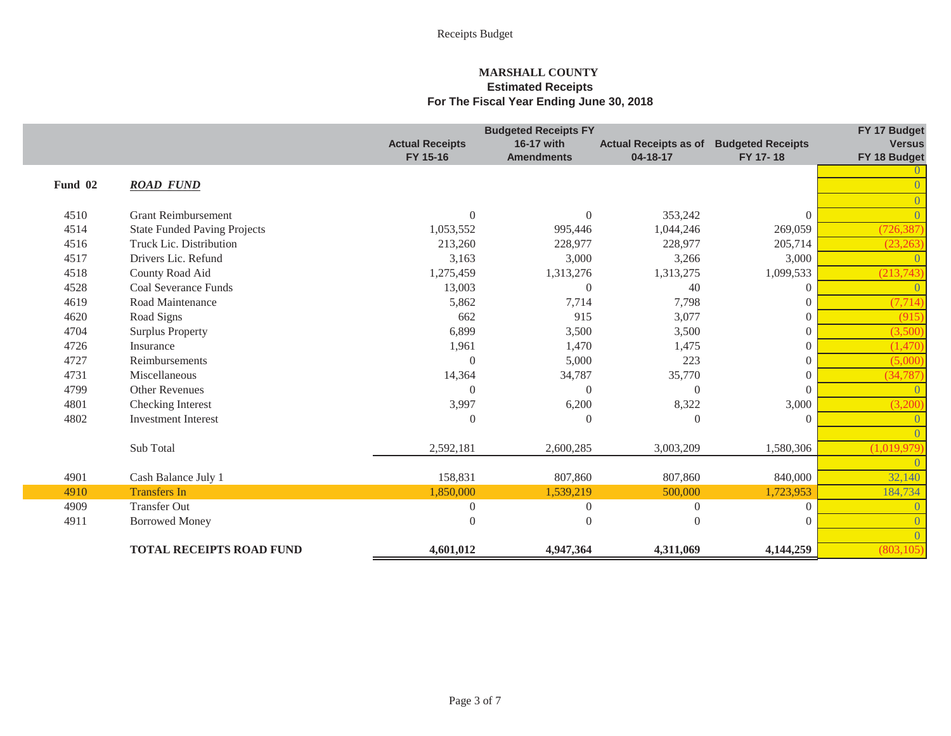|         |                                     |                        | <b>Budgeted Receipts FY</b> |                              |                          | FY 17 Budget  |
|---------|-------------------------------------|------------------------|-----------------------------|------------------------------|--------------------------|---------------|
|         |                                     | <b>Actual Receipts</b> | 16-17 with                  | <b>Actual Receipts as of</b> | <b>Budgeted Receipts</b> | <b>Versus</b> |
|         |                                     | FY 15-16               | <b>Amendments</b>           | 04-18-17                     | FY 17-18                 | FY 18 Budget  |
| Fund 02 | <b>ROAD FUND</b>                    |                        |                             |                              |                          |               |
|         |                                     |                        |                             |                              |                          |               |
| 4510    | <b>Grant Reimbursement</b>          | $\theta$               | $\overline{0}$              | 353,242                      | $\theta$                 |               |
| 4514    | <b>State Funded Paving Projects</b> | 1,053,552              | 995,446                     | 1,044,246                    | 269,059                  | (726, 387)    |
| 4516    | Truck Lic. Distribution             | 213,260                | 228,977                     | 228,977                      | 205,714                  | (23, 263)     |
| 4517    | Drivers Lic. Refund                 | 3,163                  | 3,000                       | 3,266                        | 3,000                    |               |
| 4518    | County Road Aid                     | 1,275,459              | 1,313,276                   | 1,313,275                    | 1,099,533                | (213,743)     |
| 4528    | <b>Coal Severance Funds</b>         | 13,003                 | $\theta$                    | 40                           | $\Omega$                 |               |
| 4619    | Road Maintenance                    | 5,862                  | 7,714                       | 7,798                        | $\theta$                 | (7, 714)      |
| 4620    | Road Signs                          | 662                    | 915                         | 3,077                        | $\Omega$                 | (915)         |
| 4704    | <b>Surplus Property</b>             | 6,899                  | 3,500                       | 3,500                        | $\overline{0}$           | (3,500)       |
| 4726    | Insurance                           | 1,961                  | 1,470                       | 1,475                        | $\theta$                 | (1,470)       |
| 4727    | Reimbursements                      | $\Omega$               | 5,000                       | 223                          | $\theta$                 | (5,000)       |
| 4731    | Miscellaneous                       | 14,364                 | 34,787                      | 35,770                       | $\Omega$                 | (34, 787)     |
| 4799    | Other Revenues                      | $\Omega$               | $\overline{0}$              | $\overline{0}$               | $\Omega$                 |               |
| 4801    | Checking Interest                   | 3,997                  | 6,200                       | 8,322                        | 3,000                    | (3,200)       |
| 4802    | <b>Investment Interest</b>          | $\Omega$               | $\theta$                    | $\Omega$                     | $\Omega$                 |               |
|         |                                     |                        |                             |                              |                          |               |
|         | Sub Total                           | 2,592,181              | 2,600,285                   | 3,003,209                    | 1,580,306                | (1,019,979)   |
|         |                                     |                        |                             |                              |                          |               |
| 4901    | Cash Balance July 1                 | 158,831                | 807,860                     | 807,860                      | 840,000                  | 32,140        |
| 4910    | <b>Transfers In</b>                 | 1,850,000              | 1,539,219                   | 500,000                      | 1,723,953                | 184,734       |
| 4909    | <b>Transfer Out</b>                 | $\overline{0}$         | $\overline{0}$              | $\Omega$                     | $\theta$                 |               |
| 4911    | <b>Borrowed Money</b>               | $\overline{0}$         | $\boldsymbol{0}$            | $\Omega$                     | $\theta$                 |               |
|         |                                     |                        |                             |                              |                          |               |
|         | <b>TOTAL RECEIPTS ROAD FUND</b>     | 4,601,012              | 4,947,364                   | 4,311,069                    | 4,144,259                | (803, 105)    |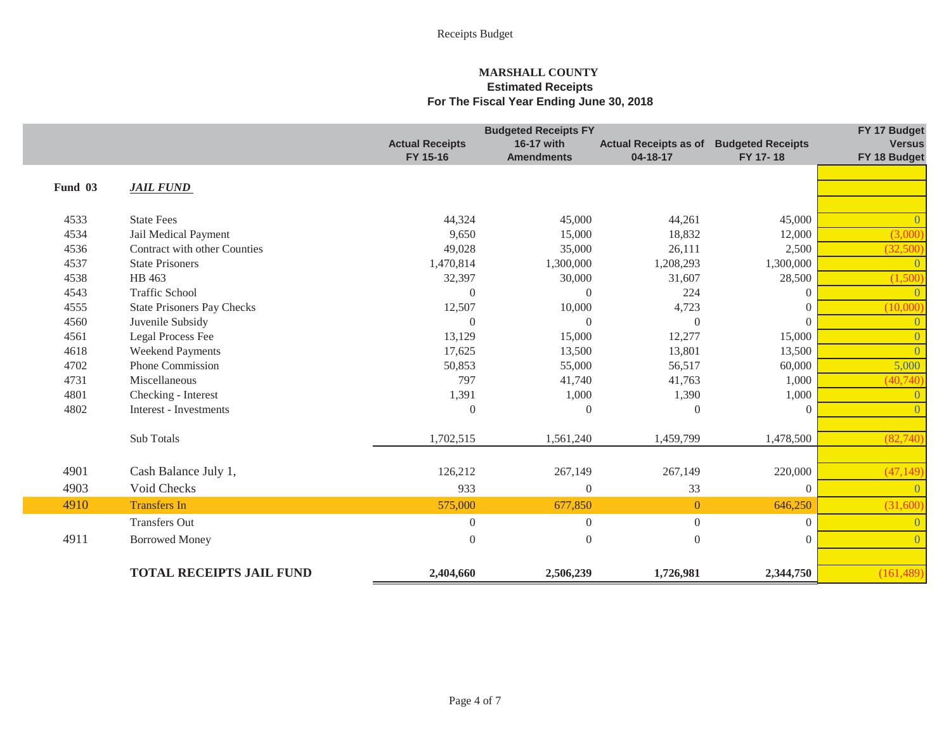|         |                                   | <b>Budgeted Receipts FY</b> |                   |                              |                          |                |
|---------|-----------------------------------|-----------------------------|-------------------|------------------------------|--------------------------|----------------|
|         |                                   | <b>Actual Receipts</b>      | 16-17 with        | <b>Actual Receipts as of</b> | <b>Budgeted Receipts</b> | <b>Versus</b>  |
|         |                                   | FY 15-16                    | <b>Amendments</b> | 04-18-17                     | FY 17-18                 | FY 18 Budget   |
|         |                                   |                             |                   |                              |                          |                |
| Fund 03 | <b>JAIL FUND</b>                  |                             |                   |                              |                          |                |
|         |                                   |                             |                   |                              |                          |                |
| 4533    | <b>State Fees</b>                 | 44,324                      | 45,000            | 44,261                       | 45,000                   | $\Omega$       |
| 4534    | Jail Medical Payment              | 9,650                       | 15,000            | 18,832                       | 12,000                   | (3,000)        |
| 4536    | Contract with other Counties      | 49,028                      | 35,000            | 26,111                       | 2,500                    | (32,500)       |
| 4537    | <b>State Prisoners</b>            | 1,470,814                   | 1,300,000         | 1,208,293                    | 1,300,000                | $\theta$       |
| 4538    | HB 463                            | 32,397                      | 30,000            | 31,607                       | 28,500                   | (1,500)        |
| 4543    | <b>Traffic School</b>             | $\overline{0}$              | $\Omega$          | 224                          | $\overline{0}$           | $\Omega$       |
| 4555    | <b>State Prisoners Pay Checks</b> | 12,507                      | 10,000            | 4,723                        | $\overline{0}$           | (10,000)       |
| 4560    | Juvenile Subsidy                  | $\Omega$                    | $\Omega$          | $\Omega$                     | $\Omega$                 | $\Omega$       |
| 4561    | Legal Process Fee                 | 13,129                      | 15,000            | 12,277                       | 15,000                   | $\theta$       |
| 4618    | Weekend Payments                  | 17,625                      | 13,500            | 13,801                       | 13,500                   | $\Omega$       |
| 4702    | Phone Commission                  | 50,853                      | 55,000            | 56,517                       | 60,000                   | 5,000          |
| 4731    | Miscellaneous                     | 797                         | 41,740            | 41,763                       | 1,000                    | (40, 740)      |
| 4801    | Checking - Interest               | 1,391                       | 1,000             | 1,390                        | 1,000                    | $\Omega$       |
| 4802    | Interest - Investments            | $\Omega$                    | $\theta$          | $\Omega$                     | $\Omega$                 | $\Omega$       |
|         |                                   |                             |                   |                              |                          |                |
|         | Sub Totals                        | 1,702,515                   | 1,561,240         | 1,459,799                    | 1,478,500                | (82,740)       |
|         |                                   |                             |                   |                              |                          |                |
| 4901    | Cash Balance July 1,              | 126,212                     | 267,149           | 267,149                      | 220,000                  | (47, 149)      |
| 4903    | Void Checks                       | 933                         | $\overline{0}$    | 33                           | $\Omega$                 |                |
| 4910    | <b>Transfers In</b>               | 575,000                     | 677,850           | $\overline{0}$               | 646,250                  | (31,600)       |
|         | <b>Transfers Out</b>              | $\boldsymbol{0}$            | $\overline{0}$    | $\mathbf{0}$                 | $\overline{0}$           | $\Omega$       |
| 4911    | <b>Borrowed Money</b>             | $\boldsymbol{0}$            | $\boldsymbol{0}$  | $\boldsymbol{0}$             | $\boldsymbol{0}$         | $\overline{0}$ |
|         |                                   |                             |                   |                              |                          |                |
|         | <b>TOTAL RECEIPTS JAIL FUND</b>   | 2,404,660                   | 2,506,239         | 1,726,981                    | 2,344,750                | (161, 489)     |
|         |                                   |                             |                   |                              |                          |                |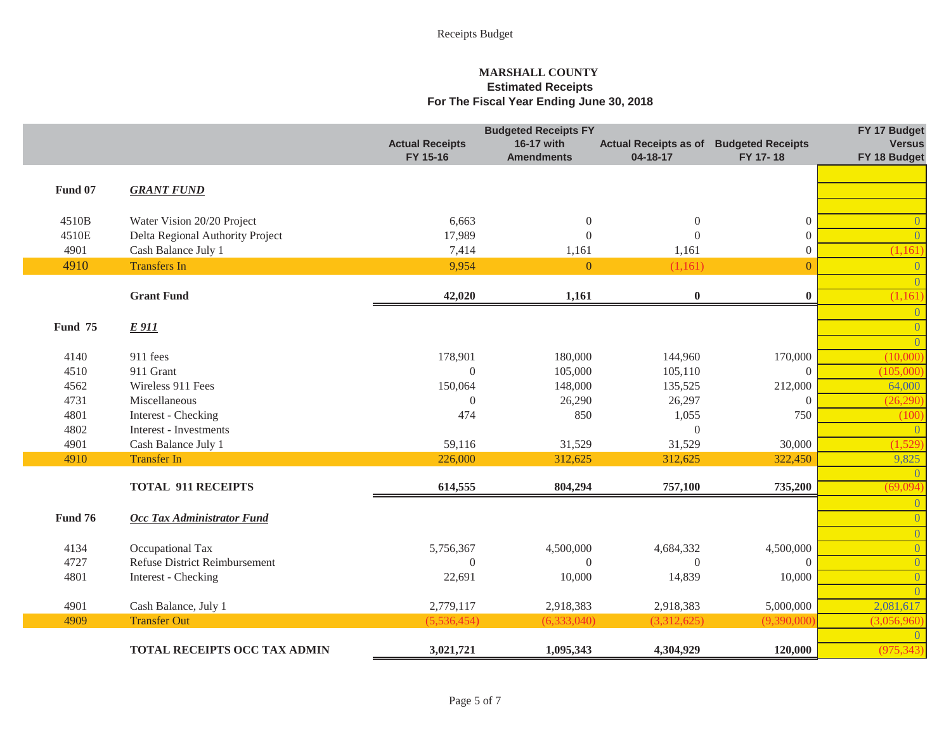|                |                                   |                        | <b>Budgeted Receipts FY</b> |                              |                          | FY 17 Budget   |
|----------------|-----------------------------------|------------------------|-----------------------------|------------------------------|--------------------------|----------------|
|                |                                   | <b>Actual Receipts</b> | 16-17 with                  | <b>Actual Receipts as of</b> | <b>Budgeted Receipts</b> | <b>Versus</b>  |
|                |                                   | FY 15-16               | <b>Amendments</b>           | 04-18-17                     | FY 17-18                 | FY 18 Budget   |
|                |                                   |                        |                             |                              |                          |                |
| <b>Fund 07</b> | <b>GRANT FUND</b>                 |                        |                             |                              |                          |                |
|                |                                   |                        |                             |                              |                          |                |
| 4510B          | Water Vision 20/20 Project        | 6,663                  | $\boldsymbol{0}$            | $\overline{0}$               | $\overline{0}$           | $\theta$       |
| 4510E          | Delta Regional Authority Project  | 17,989                 | $\Omega$                    | $\Omega$                     | $\overline{0}$           | $\theta$       |
| 4901           | Cash Balance July 1               | 7,414                  | 1,161                       | 1,161                        | $\boldsymbol{0}$         | (1,161)        |
| 4910           | <b>Transfers In</b>               | 9,954                  | $\overline{0}$              | (1,161)                      | $\overline{0}$           | $\overline{0}$ |
|                |                                   |                        |                             |                              |                          | $\overline{0}$ |
|                | <b>Grant Fund</b>                 | 42,020                 | 1,161                       | $\bf{0}$                     | $\bf{0}$                 | (1,161)        |
|                |                                   |                        |                             |                              |                          | $\overline{0}$ |
| Fund 75        | <b>E</b> 911                      |                        |                             |                              |                          | $\overline{0}$ |
|                |                                   |                        |                             |                              |                          | $\overline{0}$ |
| 4140           | 911 fees                          | 178,901                | 180,000                     | 144,960                      | 170,000                  | (10,000)       |
| 4510           | 911 Grant                         | $\theta$               | 105,000                     | 105,110                      | $\Omega$                 | (105,000)      |
| 4562           | Wireless 911 Fees                 | 150,064                | 148,000                     | 135,525                      | 212,000                  | 64,000         |
| 4731           | Miscellaneous                     | $\Omega$               | 26,290                      | 26,297                       | $\Omega$                 | (26, 290)      |
| 4801           | Interest - Checking               | 474                    | 850                         | 1,055                        | 750                      | (100)          |
| 4802           | Interest - Investments            |                        |                             | $\boldsymbol{0}$             |                          | $\overline{0}$ |
| 4901           | Cash Balance July 1               | 59,116                 | 31,529                      | 31,529                       | 30,000                   | (1,529)        |
| 4910           | <b>Transfer In</b>                | 226,000                | 312,625                     | 312,625                      | 322,450                  | 9,825          |
|                |                                   |                        |                             |                              |                          | $\Omega$       |
|                | <b>TOTAL 911 RECEIPTS</b>         | 614,555                | 804,294                     | 757,100                      | 735,200                  | (69,094)       |
|                |                                   |                        |                             |                              |                          | $\overline{0}$ |
| <b>Fund 76</b> | <b>Occ Tax Administrator Fund</b> |                        |                             |                              |                          | $\overline{0}$ |
|                |                                   |                        |                             |                              |                          | $\overline{0}$ |
| 4134           | Occupational Tax                  | 5,756,367              | 4,500,000                   | 4,684,332                    | 4,500,000                | $\overline{0}$ |
| 4727           | Refuse District Reimbursement     | $\overline{0}$         | $\Omega$                    | $\theta$                     | $\Omega$                 | $\overline{0}$ |
| 4801           | Interest - Checking               | 22,691                 | 10,000                      | 14,839                       | 10,000                   | $\overline{0}$ |
|                |                                   |                        |                             |                              |                          | $\overline{0}$ |
| 4901           | Cash Balance, July 1              | 2,779,117              | 2,918,383                   | 2,918,383                    | 5,000,000                | 2,081,617      |
| 4909           | <b>Transfer Out</b>               | (5,536,454)            | (6,333,040)                 | (3,312,625)                  | (9,390,000)              | (3,056,960)    |
|                | TOTAL RECEIPTS OCC TAX ADMIN      |                        |                             |                              |                          |                |
|                |                                   | 3,021,721              | 1,095,343                   | 4,304,929                    | 120,000                  | (975, 343)     |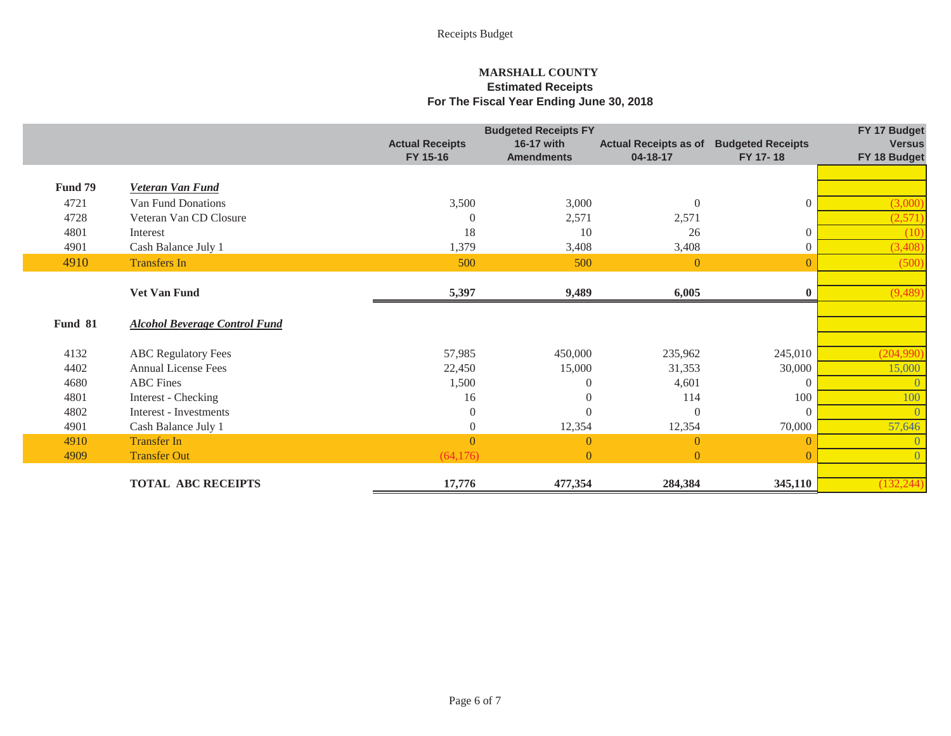|                |                                      |                        | <b>Budgeted Receipts FY</b> |                              |                          | FY 17 Budget   |
|----------------|--------------------------------------|------------------------|-----------------------------|------------------------------|--------------------------|----------------|
|                |                                      | <b>Actual Receipts</b> | 16-17 with                  | <b>Actual Receipts as of</b> | <b>Budgeted Receipts</b> | <b>Versus</b>  |
|                |                                      | FY 15-16               | <b>Amendments</b>           | 04-18-17                     | FY 17-18                 | FY 18 Budget   |
|                |                                      |                        |                             |                              |                          |                |
| Fund 79        | <b>Veteran Van Fund</b>              |                        |                             |                              |                          |                |
| 4721           | Van Fund Donations                   | 3,500                  | 3,000                       | $\theta$                     | $\Omega$                 | (3,000)        |
| 4728           | Veteran Van CD Closure               | $\Omega$               | 2,571                       | 2,571                        |                          | (2,571)        |
| 4801           | Interest                             | 18                     | 10                          | 26                           | $\Omega$                 | (10)           |
| 4901           | Cash Balance July 1                  | 1,379                  | 3,408                       | 3,408                        | $\Omega$                 | (3,408)        |
| 4910           | <b>Transfers In</b>                  | 500                    | 500                         | $\overline{0}$               |                          | (500)          |
|                |                                      |                        |                             |                              |                          |                |
|                | <b>Vet Van Fund</b>                  | 5,397                  | 9,489                       | 6,005                        |                          | (9,489)        |
|                |                                      |                        |                             |                              |                          |                |
| <b>Fund 81</b> | <b>Alcohol Beverage Control Fund</b> |                        |                             |                              |                          |                |
|                |                                      |                        |                             |                              |                          |                |
| 4132           | <b>ABC Regulatory Fees</b>           | 57,985                 | 450,000                     | 235,962                      | 245,010                  | (204,990)      |
| 4402           | <b>Annual License Fees</b>           | 22,450                 | 15,000                      | 31,353                       | 30,000                   | 15,000         |
| 4680           | <b>ABC</b> Fines                     | 1,500                  | 0                           | 4,601                        | $\Omega$                 | $\overline{0}$ |
| 4801           | Interest - Checking                  | 16                     | $\theta$                    | 114                          | 100                      | 100            |
| 4802           | Interest - Investments               | $\overline{0}$         | $\Omega$                    | $\Omega$                     | $\Omega$                 | $\overline{0}$ |
| 4901           | Cash Balance July 1                  | $\overline{0}$         | 12,354                      | 12,354                       | 70,000                   | 57,646         |
| 4910           | <b>Transfer In</b>                   | $\Omega$               | $\mathbf{0}$                | $\Omega$                     |                          | $\overline{0}$ |
| 4909           | <b>Transfer Out</b>                  | (64,176)               | $\overline{0}$              | $\overline{0}$               |                          | $\theta$       |
|                |                                      |                        |                             |                              |                          |                |
|                | <b>TOTAL ABC RECEIPTS</b>            | 17,776                 | 477,354                     | 284,384                      | 345,110                  | (132, 244)     |